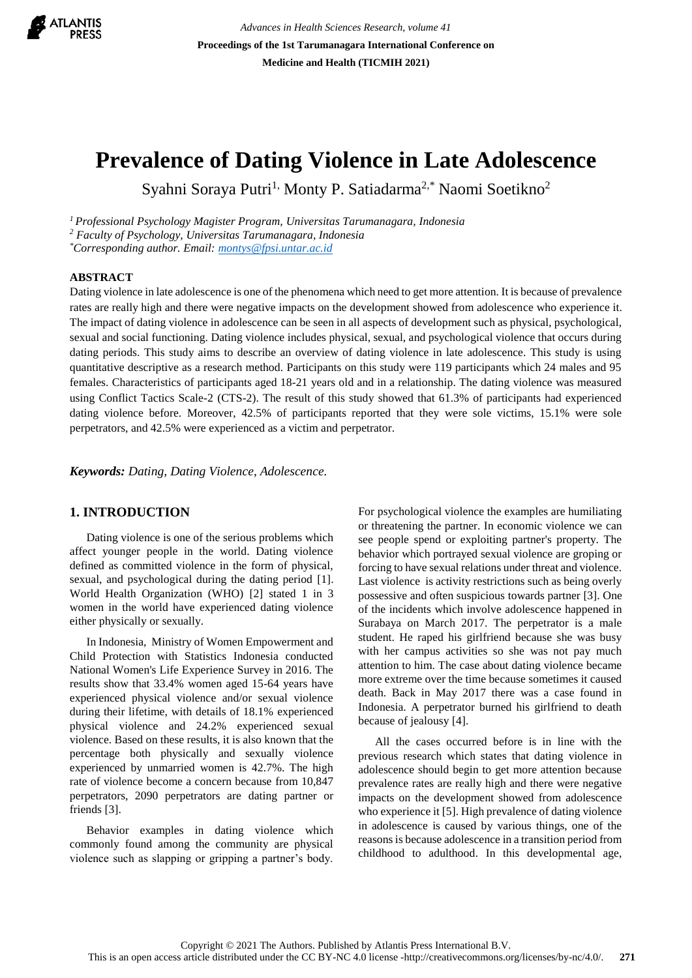

*Advances in Health Sciences Research, volume 41* **Proceedings of the 1st Tarumanagara International Conference on Medicine and Health (TICMIH 2021)**

# **Prevalence of Dating Violence in Late Adolescence**

Syahni Soraya Putri<sup>1,</sup> Monty P. Satiadarma<sup>2,\*</sup> Naomi Soetikno<sup>2</sup>

*<sup>1</sup>Professional Psychology Magister Program, Universitas Tarumanagara, Indonesia*

*<sup>2</sup> Faculty of Psychology, Universitas Tarumanagara, Indonesia*

*\*Corresponding author. Email[: montys@fpsi.untar.ac.id](mailto:montys@fpsi.untar.ac.id)*

### **ABSTRACT**

Dating violence in late adolescence is one of the phenomena which need to get more attention. It is because of prevalence rates are really high and there were negative impacts on the development showed from adolescence who experience it. The impact of dating violence in adolescence can be seen in all aspects of development such as physical, psychological, sexual and social functioning. Dating violence includes physical, sexual, and psychological violence that occurs during dating periods. This study aims to describe an overview of dating violence in late adolescence. This study is using quantitative descriptive as a research method. Participants on this study were 119 participants which 24 males and 95 females. Characteristics of participants aged 18-21 years old and in a relationship. The dating violence was measured using Conflict Tactics Scale-2 (CTS-2). The result of this study showed that 61.3% of participants had experienced dating violence before. Moreover, 42.5% of participants reported that they were sole victims, 15.1% were sole perpetrators, and 42.5% were experienced as a victim and perpetrator.

*Keywords: Dating, Dating Violence, Adolescence.*

### **1. INTRODUCTION**

Dating violence is one of the serious problems which affect younger people in the world. Dating violence defined as committed violence in the form of physical, sexual, and psychological during the dating period [1]. World Health Organization (WHO) [2] stated 1 in 3 women in the world have experienced dating violence either physically or sexually.

In Indonesia, Ministry of Women Empowerment and Child Protection with Statistics Indonesia conducted National Women's Life Experience Survey in 2016. The results show that 33.4% women aged 15-64 years have experienced physical violence and/or sexual violence during their lifetime, with details of 18.1% experienced physical violence and 24.2% experienced sexual violence. Based on these results, it is also known that the percentage both physically and sexually violence experienced by unmarried women is 42.7%. The high rate of violence become a concern because from 10,847 perpetrators, 2090 perpetrators are dating partner or friends [3].

Behavior examples in dating violence which commonly found among the community are physical violence such as slapping or gripping a partner's body. For psychological violence the examples are humiliating or threatening the partner. In economic violence we can see people spend or exploiting partner's property. The behavior which portrayed sexual violence are groping or forcing to have sexual relations under threat and violence. Last violence is activity restrictions such as being overly possessive and often suspicious towards partner [3]. One of the incidents which involve adolescence happened in Surabaya on March 2017. The perpetrator is a male student. He raped his girlfriend because she was busy with her campus activities so she was not pay much attention to him. The case about dating violence became more extreme over the time because sometimes it caused death. Back in May 2017 there was a case found in Indonesia. A perpetrator burned his girlfriend to death because of jealousy [4].

All the cases occurred before is in line with the previous research which states that dating violence in adolescence should begin to get more attention because prevalence rates are really high and there were negative impacts on the development showed from adolescence who experience it [5]. High prevalence of dating violence in adolescence is caused by various things, one of the reasons is because adolescence in a transition period from childhood to adulthood. In this developmental age,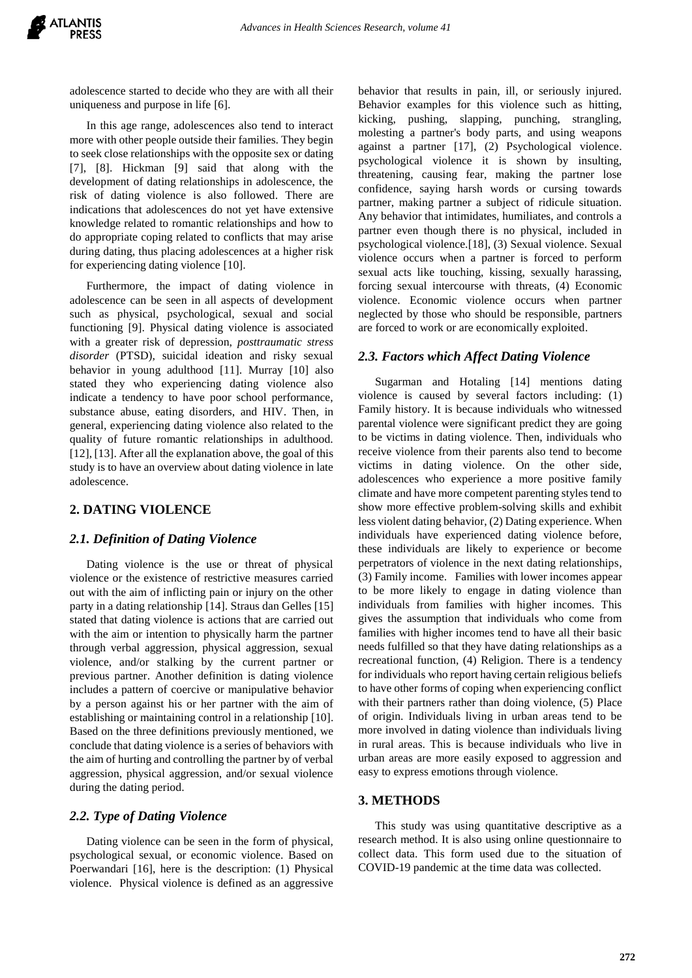adolescence started to decide who they are with all their uniqueness and purpose in life [6].

In this age range, adolescences also tend to interact more with other people outside their families. They begin to seek close relationships with the opposite sex or dating [7], [8]. Hickman [9] said that along with the development of dating relationships in adolescence, the risk of dating violence is also followed. There are indications that adolescences do not yet have extensive knowledge related to romantic relationships and how to do appropriate coping related to conflicts that may arise during dating, thus placing adolescences at a higher risk for experiencing dating violence [10].

Furthermore, the impact of dating violence in adolescence can be seen in all aspects of development such as physical, psychological, sexual and social functioning [9]. Physical dating violence is associated with a greater risk of depression, *posttraumatic stress disorder* (PTSD), suicidal ideation and risky sexual behavior in young adulthood [11]. Murray [10] also stated they who experiencing dating violence also indicate a tendency to have poor school performance, substance abuse, eating disorders, and HIV. Then, in general, experiencing dating violence also related to the quality of future romantic relationships in adulthood. [12], [13]. After all the explanation above, the goal of this study is to have an overview about dating violence in late adolescence.

### **2. DATING VIOLENCE**

### *2.1. Definition of Dating Violence*

Dating violence is the use or threat of physical violence or the existence of restrictive measures carried out with the aim of inflicting pain or injury on the other party in a dating relationship [14]. Straus dan Gelles [15] stated that dating violence is actions that are carried out with the aim or intention to physically harm the partner through verbal aggression, physical aggression, sexual violence, and/or stalking by the current partner or previous partner. Another definition is dating violence includes a pattern of coercive or manipulative behavior by a person against his or her partner with the aim of establishing or maintaining control in a relationship [10]. Based on the three definitions previously mentioned, we conclude that dating violence is a series of behaviors with the aim of hurting and controlling the partner by of verbal aggression, physical aggression, and/or sexual violence during the dating period.

### *2.2. Type of Dating Violence*

Dating violence can be seen in the form of physical, psychological sexual, or economic violence. Based on Poerwandari [16], here is the description: (1) Physical violence. Physical violence is defined as an aggressive

behavior that results in pain, ill, or seriously injured. Behavior examples for this violence such as hitting, kicking, pushing, slapping, punching, strangling, molesting a partner's body parts, and using weapons against a partner [17], (2) Psychological violence. psychological violence it is shown by insulting, threatening, causing fear, making the partner lose confidence, saying harsh words or cursing towards partner, making partner a subject of ridicule situation. Any behavior that intimidates, humiliates, and controls a partner even though there is no physical, included in psychological violence.[18], (3) Sexual violence. Sexual violence occurs when a partner is forced to perform sexual acts like touching, kissing, sexually harassing, forcing sexual intercourse with threats, (4) Economic violence. Economic violence occurs when partner neglected by those who should be responsible, partners are forced to work or are economically exploited.

### *2.3. Factors which Affect Dating Violence*

Sugarman and Hotaling [14] mentions dating violence is caused by several factors including: (1) Family history. It is because individuals who witnessed parental violence were significant predict they are going to be victims in dating violence. Then, individuals who receive violence from their parents also tend to become victims in dating violence. On the other side, adolescences who experience a more positive family climate and have more competent parenting styles tend to show more effective problem-solving skills and exhibit less violent dating behavior, (2) Dating experience. When individuals have experienced dating violence before, these individuals are likely to experience or become perpetrators of violence in the next dating relationships, (3) Family income. Families with lower incomes appear to be more likely to engage in dating violence than individuals from families with higher incomes. This gives the assumption that individuals who come from families with higher incomes tend to have all their basic needs fulfilled so that they have dating relationships as a recreational function, (4) Religion. There is a tendency for individuals who report having certain religious beliefs to have other forms of coping when experiencing conflict with their partners rather than doing violence, (5) Place of origin. Individuals living in urban areas tend to be more involved in dating violence than individuals living in rural areas. This is because individuals who live in urban areas are more easily exposed to aggression and easy to express emotions through violence.

### **3. METHODS**

This study was using quantitative descriptive as a research method. It is also using online questionnaire to collect data. This form used due to the situation of COVID-19 pandemic at the time data was collected.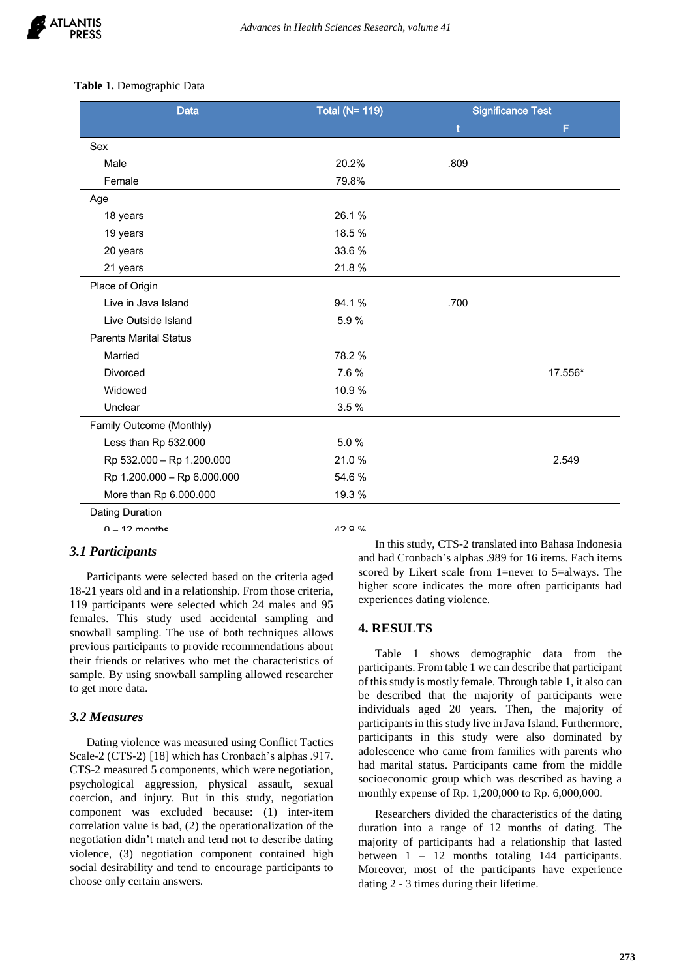### **Table 1.** Demographic Data

| <b>Data</b>                   | <b>Total (N= 119)</b> | <b>Significance Test</b> |         |
|-------------------------------|-----------------------|--------------------------|---------|
|                               |                       | t                        | F       |
| Sex                           |                       |                          |         |
| Male                          | 20.2%                 | .809                     |         |
| Female                        | 79.8%                 |                          |         |
| Age                           |                       |                          |         |
| 18 years                      | 26.1%                 |                          |         |
| 19 years                      | 18.5 %                |                          |         |
| 20 years                      | 33.6%                 |                          |         |
| 21 years                      | 21.8%                 |                          |         |
| Place of Origin               |                       |                          |         |
| Live in Java Island           | 94.1%                 | .700                     |         |
| Live Outside Island           | 5.9%                  |                          |         |
| <b>Parents Marital Status</b> |                       |                          |         |
| Married                       | 78.2 %                |                          |         |
| Divorced                      | 7.6 %                 |                          | 17.556* |
| Widowed                       | 10.9 %                |                          |         |
| Unclear                       | 3.5%                  |                          |         |
| Family Outcome (Monthly)      |                       |                          |         |
| Less than Rp 532.000          | 5.0%                  |                          |         |
| Rp 532.000 - Rp 1.200.000     | 21.0%                 |                          | 2.549   |
| Rp 1.200.000 - Rp 6.000.000   | 54.6%                 |                          |         |
| More than Rp 6.000.000        | 19.3 %                |                          |         |
| <b>Dating Duration</b>        |                       |                          |         |
| $0 - 12$ monthe               | 4299                  |                          |         |

## **3.1 Participants**

Participants were selected based on the criteria aged  $\frac{56}{h}$ 18-21 years old and in a relationship. From those criteria, 119 participants were selected which  $24$  males and  $95$   $\cdot$ females. This study used accidental sampling and snowball sampling. The use of both techniques allows previous participants to provide recommendations about their friends or relatives who met the characteristics of sample. By using snowball sampling allowed researcher  $\frac{p^3}{2}$ to get more data.  $\frac{1}{2}$ 

#### *3.2 Measures*  $\boldsymbol{\epsilon}$  correlation is significant at the 0.01 level (2-tailed) significant at the 0.01 level (2-tailed) significant at the 0.01 level (2-tailed) significant at the 0.01 level (2-tailed) significant at the 0.01 level (2-

Dating violence was measured using Conflict Tactics Scale-2 (CTS-2) [18] which has Cronbach's alphas .917. CTS-2 measured 5 components, which were negotiation, psychological aggression, physical assault, sexual coercion, and injury. But in this study, negotiation component was excluded because: (1) inter-item correlation value is bad, (2) the operationalization of the negotiation didn't match and tend not to describe dating violence, (3) negotiation component contained high social desirability and tend to encourage participants to choose only certain answers.

In this study, CTS-2 translated into Bahasa Indonesia and had Cronbach's alphas .989 for 16 items. Each items scored by Likert scale from 1=never to 5=always. The higher score indicates the more often participants had experiences dating violence.  $\alpha$ 

### **4. RESULTS**

Table 1 shows demographic data from the participants. From table 1 we can describe that participant of this study is mostly female. Through table 1, it also can be described that the majority of participants were individuals aged 20 years. Then, the majority of participants in this study live in Java Island. Furthermore, participants in this study were also dominated by adolescence who came from families with parents who had marital status. Participants came from the middle socioeconomic group which was described as having a monthly expense of Rp. 1,200,000 to Rp. 6,000,000. More than 5 times 12.6 %

> Researchers divided the characteristics of the dating duration into a range of 12 months of dating. The majority of participants had a relationship that lasted between 1 – 12 months totaling 144 participants. Moreover, most of the participants have experience dating 2 - 3 times during their lifetime.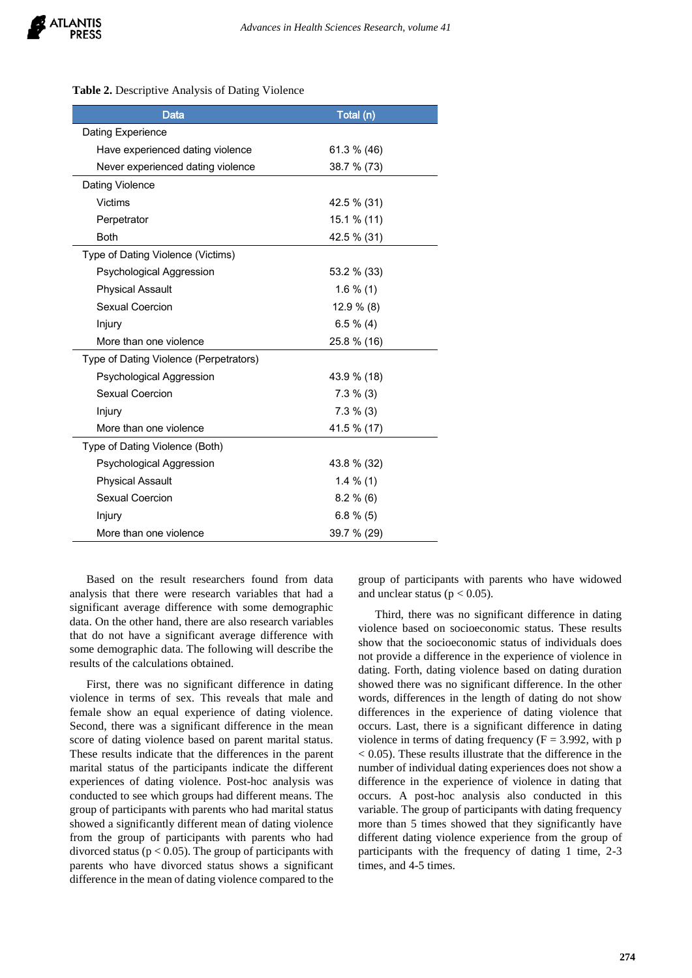### **Table 2.** Descriptive Analysis of Dating Violence

| Data                                   | Total (n)    |  |
|----------------------------------------|--------------|--|
| Dating Experience                      |              |  |
| Have experienced dating violence       | 61.3 % (46)  |  |
| Never experienced dating violence      | 38.7 % (73)  |  |
| Dating Violence                        |              |  |
| Victims                                | 42.5 % (31)  |  |
| Perpetrator                            | 15.1 % (11)  |  |
| <b>Both</b>                            | 42.5 % (31)  |  |
| Type of Dating Violence (Victims)      |              |  |
| Psychological Aggression               | 53.2 % (33)  |  |
| <b>Physical Assault</b>                | $1.6\%$ (1)  |  |
| Sexual Coercion                        | $12.9\%$ (8) |  |
| Injury                                 | $6.5 \% (4)$ |  |
| More than one violence                 | 25.8 % (16)  |  |
| Type of Dating Violence (Perpetrators) |              |  |
| Psychological Aggression               | 43.9 % (18)  |  |
| Sexual Coercion                        | $7.3 \% (3)$ |  |
| Injury                                 | $7.3 \% (3)$ |  |
| More than one violence                 | 41.5 % (17)  |  |
| Type of Dating Violence (Both)         |              |  |
| Psychological Aggression               | 43.8 % (32)  |  |
| <b>Physical Assault</b>                | $1.4\%$ (1)  |  |
| Sexual Coercion                        | $8.2 \% (6)$ |  |
| Injury                                 | $6.8\%$ (5)  |  |
| More than one violence                 | 39.7 % (29)  |  |

Based on the result researchers found from data analysis that there were research variables that had a significant average difference with some demographic data. On the other hand, there are also research variables that do not have a significant average difference with some demographic data. The following will describe the results of the calculations obtained.

First, there was no significant difference in dating violence in terms of sex. This reveals that male and female show an equal experience of dating violence. Second, there was a significant difference in the mean score of dating violence based on parent marital status. These results indicate that the differences in the parent marital status of the participants indicate the different experiences of dating violence. Post-hoc analysis was conducted to see which groups had different means. The group of participants with parents who had marital status showed a significantly different mean of dating violence from the group of participants with parents who had divorced status ( $p < 0.05$ ). The group of participants with parents who have divorced status shows a significant difference in the mean of dating violence compared to the group of participants with parents who have widowed and unclear status ( $p < 0.05$ ).

Third, there was no significant difference in dating violence based on socioeconomic status. These results show that the socioeconomic status of individuals does not provide a difference in the experience of violence in dating. Forth, dating violence based on dating duration showed there was no significant difference. In the other words, differences in the length of dating do not show differences in the experience of dating violence that occurs. Last, there is a significant difference in dating violence in terms of dating frequency  $(F = 3.992$ , with p  $< 0.05$ ). These results illustrate that the difference in the number of individual dating experiences does not show a difference in the experience of violence in dating that occurs. A post-hoc analysis also conducted in this variable. The group of participants with dating frequency more than 5 times showed that they significantly have different dating violence experience from the group of participants with the frequency of dating 1 time, 2-3 times, and 4-5 times.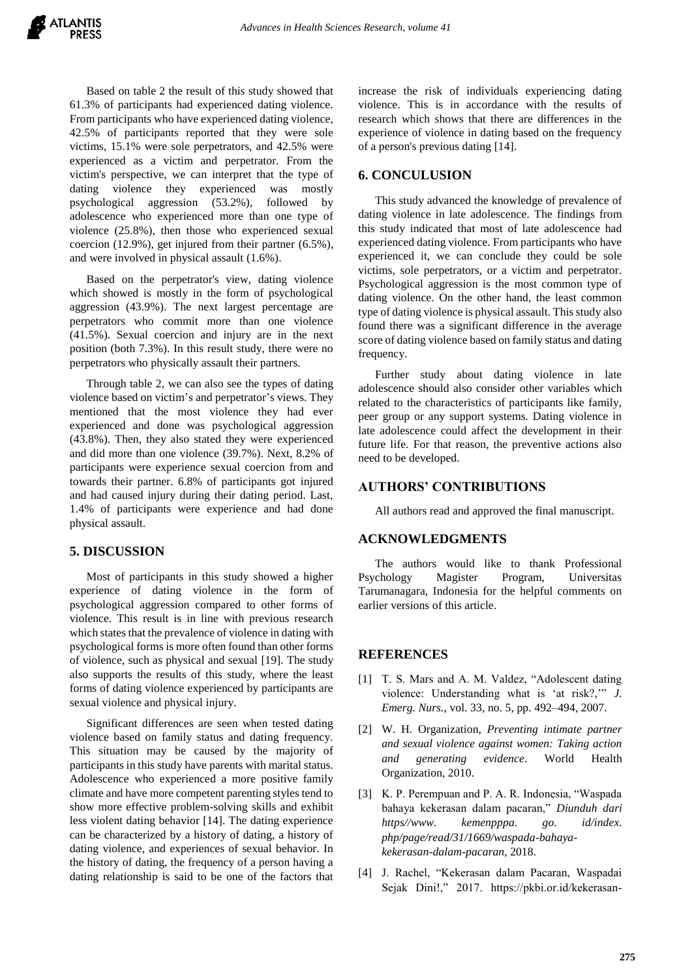Based on table 2 the result of this study showed that 61.3% of participants had experienced dating violence. From participants who have experienced dating violence, 42.5% of participants reported that they were sole victims, 15.1% were sole perpetrators, and 42.5% were experienced as a victim and perpetrator. From the victim's perspective, we can interpret that the type of dating violence they experienced was mostly psychological aggression (53.2%), followed by adolescence who experienced more than one type of violence (25.8%), then those who experienced sexual coercion (12.9%), get injured from their partner (6.5%), and were involved in physical assault (1.6%).

Based on the perpetrator's view, dating violence which showed is mostly in the form of psychological aggression (43.9%). The next largest percentage are perpetrators who commit more than one violence (41.5%). Sexual coercion and injury are in the next position (both 7.3%). In this result study, there were no perpetrators who physically assault their partners.

Through table 2, we can also see the types of dating violence based on victim's and perpetrator's views. They mentioned that the most violence they had ever experienced and done was psychological aggression (43.8%). Then, they also stated they were experienced and did more than one violence (39.7%). Next, 8.2% of participants were experience sexual coercion from and towards their partner. 6.8% of participants got injured and had caused injury during their dating period. Last, 1.4% of participants were experience and had done physical assault.

### **5. DISCUSSION**

Most of participants in this study showed a higher experience of dating violence in the form of psychological aggression compared to other forms of violence. This result is in line with previous research which states that the prevalence of violence in dating with psychological forms is more often found than other forms of violence, such as physical and sexual [19]. The study also supports the results of this study, where the least forms of dating violence experienced by participants are sexual violence and physical injury.

Significant differences are seen when tested dating violence based on family status and dating frequency. This situation may be caused by the majority of participants in this study have parents with marital status. Adolescence who experienced a more positive family climate and have more competent parenting styles tend to show more effective problem-solving skills and exhibit less violent dating behavior [14]. The dating experience can be characterized by a history of dating, a history of dating violence, and experiences of sexual behavior. In the history of dating, the frequency of a person having a dating relationship is said to be one of the factors that increase the risk of individuals experiencing dating violence. This is in accordance with the results of research which shows that there are differences in the experience of violence in dating based on the frequency of a person's previous dating [14].

### **6. CONCULUSION**

This study advanced the knowledge of prevalence of dating violence in late adolescence. The findings from this study indicated that most of late adolescence had experienced dating violence. From participants who have experienced it, we can conclude they could be sole victims, sole perpetrators, or a victim and perpetrator. Psychological aggression is the most common type of dating violence. On the other hand, the least common type of dating violence is physical assault. This study also found there was a significant difference in the average score of dating violence based on family status and dating frequency.

Further study about dating violence in late adolescence should also consider other variables which related to the characteristics of participants like family, peer group or any support systems. Dating violence in late adolescence could affect the development in their future life. For that reason, the preventive actions also need to be developed.

### **AUTHORS' CONTRIBUTIONS**

All authors read and approved the final manuscript.

### **ACKNOWLEDGMENTS**

The authors would like to thank Professional Psychology Magister Program, Universitas Tarumanagara, Indonesia for the helpful comments on earlier versions of this article.

### **REFERENCES**

- [1] T. S. Mars and A. M. Valdez, "Adolescent dating violence: Understanding what is 'at risk?,'" *J. Emerg. Nurs.*, vol. 33, no. 5, pp. 492–494, 2007.
- [2] W. H. Organization, *Preventing intimate partner and sexual violence against women: Taking action and generating evidence*. World Health Organization, 2010.
- [3] K. P. Perempuan and P. A. R. Indonesia, "Waspada bahaya kekerasan dalam pacaran," *Diunduh dari https//www. kemenpppa. go. id/index. php/page/read/31/1669/waspada-bahayakekerasan-dalam-pacaran*, 2018.
- [4] J. Rachel, "Kekerasan dalam Pacaran, Waspadai Sejak Dini!," 2017. https://pkbi.or.id/kekerasan-